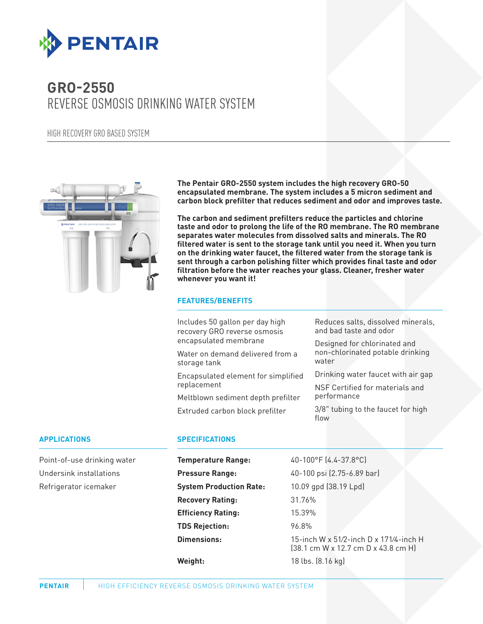

# **GRO-2550** REVERSE OSMOSIS DRINKING WATER SYSTEM

HIGH RECOVERY GRO BASED SYSTEM



**The Pentair GRO-2550 system includes the high recovery GRO-50 encapsulated membrane. The system includes a 5 micron sediment and carbon block prefilter that reduces sediment and odor and improves taste.**

**The carbon and sediment prefilters reduce the particles and chlorine taste and odor to prolong the life of the RO membrane. The RO membrane separates water molecules from dissolved salts and minerals. The RO filtered water is sent to the storage tank until you need it. When you turn on the drinking water faucet, the filtered water from the storage tank is sent through a carbon polishing filter which provides final taste and odor filtration before the water reaches your glass. Cleaner, fresher water whenever you want it!**

## **FEATURES/BENEFITS**

Includes 50 gallon per day high recovery GRO reverse osmosis encapsulated membrane

Water on demand delivered from a storage tank

Encapsulated element for simplified replacement

Meltblown sediment depth prefilter

Extruded carbon block prefilter

Reduces salts, dissolved minerals, and bad taste and odor

Designed for chlorinated and non-chlorinated potable drinking water

Drinking water faucet with air gap

NSF Certified for materials and performance

3/8" tubing to the faucet for high flow

#### **APPLICATIONS**

Point-of-use drinking water Undersink installations Refrigerator icemaker

#### **SPECIFICATIONS**

| <b>Temperature Range:</b>      | 40-100°F (4.4-37.8°C)                                                         |
|--------------------------------|-------------------------------------------------------------------------------|
| <b>Pressure Range:</b>         | 40-100 psi (2.75-6.89 bar)                                                    |
| <b>System Production Rate:</b> | 10.09 gpd (38.19 Lpd)                                                         |
| <b>Recovery Rating:</b>        | 31.76%                                                                        |
| <b>Efficiency Rating:</b>      | 15.39%                                                                        |
| <b>TDS Rejection:</b>          | 96.8%                                                                         |
| <b>Dimensions:</b>             | 15-inch W x 51/2-inch D x 171/4-inch H<br>[38.1 cm W x 12.7 cm D x 43.8 cm H] |
| Weight:                        | 18 lbs. (8.16 kg)                                                             |
|                                |                                                                               |